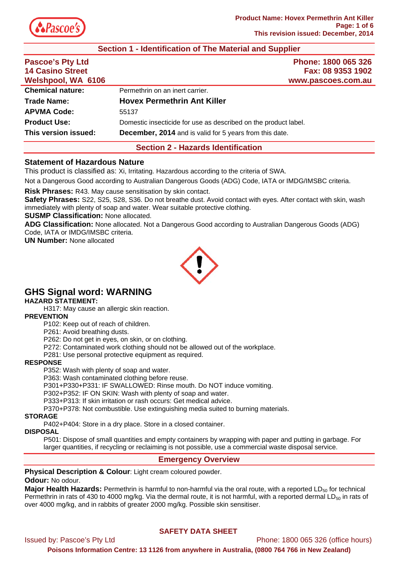

## **Section 1 - Identification of The Material and Supplier**

| <b>Pascoe's Pty Ltd</b><br><b>14 Casino Street</b><br>Welshpool, WA 6106 | Phone: 1800 065 326<br>Fax: 08 9353 1902<br>www.pascoes.com.au  |
|--------------------------------------------------------------------------|-----------------------------------------------------------------|
| <b>Chemical nature:</b>                                                  | Permethrin on an inert carrier.                                 |
| <b>Trade Name:</b>                                                       | <b>Hovex Permethrin Ant Killer</b>                              |
| <b>APVMA Code:</b>                                                       | 55137                                                           |
| <b>Product Use:</b>                                                      | Domestic insecticide for use as described on the product label. |
| This version issued:                                                     | <b>December, 2014</b> and is valid for 5 years from this date.  |

## **Section 2 - Hazards Identification**

### **Statement of Hazardous Nature**

This product is classified as: Xi, Irritating. Hazardous according to the criteria of SWA.

Not a Dangerous Good according to Australian Dangerous Goods (ADG) Code, IATA or IMDG/IMSBC criteria.

**Risk Phrases:** R43. May cause sensitisation by skin contact.

**Safety Phrases:** S22, S25, S28, S36. Do not breathe dust. Avoid contact with eyes. After contact with skin, wash immediately with plenty of soap and water. Wear suitable protective clothing.

**SUSMP Classification:** None allocated.

**ADG Classification:** None allocated. Not a Dangerous Good according to Australian Dangerous Goods (ADG) Code, IATA or IMDG/IMSBC criteria.

**UN Number:** None allocated



# **GHS Signal word: WARNING**

**HAZARD STATEMENT:** 

H317: May cause an allergic skin reaction.

**PREVENTION** 

P102: Keep out of reach of children.

P261: Avoid breathing dusts.

P262: Do not get in eyes, on skin, or on clothing.

P272: Contaminated work clothing should not be allowed out of the workplace.

P281: Use personal protective equipment as required.

### **RESPONSE**

P352: Wash with plenty of soap and water.

P363: Wash contaminated clothing before reuse.

P301+P330+P331: IF SWALLOWED: Rinse mouth. Do NOT induce vomiting.

P302+P352: IF ON SKIN: Wash with plenty of soap and water.

P333+P313: If skin irritation or rash occurs: Get medical advice.

P370+P378: Not combustible. Use extinguishing media suited to burning materials.

### **STORAGE**

P402+P404: Store in a dry place. Store in a closed container.

### **DISPOSAL**

P501: Dispose of small quantities and empty containers by wrapping with paper and putting in garbage. For larger quantities, if recycling or reclaiming is not possible, use a commercial waste disposal service.

## **Emergency Overview**

### **Physical Description & Colour**: Light cream coloured powder.

### **Odour:** No odour.

**Major Health Hazards:** Permethrin is harmful to non-harmful via the oral route, with a reported LD<sub>50</sub> for technical Permethrin in rats of 430 to 4000 mg/kg. Via the dermal route, it is not harmful, with a reported dermal LD $_{50}$  in rats of over 4000 mg/kg, and in rabbits of greater 2000 mg/kg. Possible skin sensitiser.

## **SAFETY DATA SHEET**

Issued by: Pascoe's Pty Ltd Phone: 1800 065 326 (office hours) **Poisons Information Centre: 13 1126 from anywhere in Australia, (0800 764 766 in New Zealand)**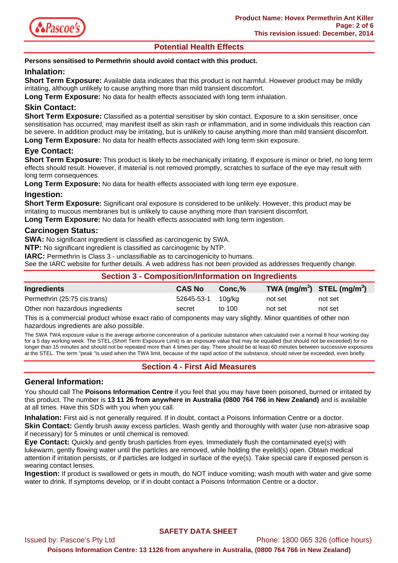

# **Potential Health Effects**

### **Persons sensitised to Permethrin should avoid contact with this product.**

## **Inhalation:**

**Short Term Exposure:** Available data indicates that this product is not harmful. However product may be mildly irritating, although unlikely to cause anything more than mild transient discomfort.

**Long Term Exposure:** No data for health effects associated with long term inhalation.

## **Skin Contact:**

**Short Term Exposure:** Classified as a potential sensitiser by skin contact. Exposure to a skin sensitiser, once sensitisation has occurred, may manifest itself as skin rash or inflammation, and in some individuals this reaction can be severe. In addition product may be irritating, but is unlikely to cause anything more than mild transient discomfort. **Long Term Exposure:** No data for health effects associated with long term skin exposure.

**Eye Contact:** 

**Short Term Exposure:** This product is likely to be mechanically irritating. If exposure is minor or brief, no long term effects should result. However, if material is not removed promptly, scratches to surface of the eye may result with long term consequences.

**Long Term Exposure:** No data for health effects associated with long term eye exposure.

## **Ingestion:**

**Short Term Exposure:** Significant oral exposure is considered to be unlikely. However, this product may be irritating to mucous membranes but is unlikely to cause anything more than transient discomfort.

**Long Term Exposure:** No data for health effects associated with long term ingestion.

## **Carcinogen Status:**

**SWA:** No significant ingredient is classified as carcinogenic by SWA.

**NTP:** No significant ingredient is classified as carcinogenic by NTP.

**IARC:** Permethrin is Class 3 - unclassifiable as to carcinogenicity to humans.

See the IARC website for further details. A web address has not been provided as addresses frequently change.

| <b>Section 3 - Composition/Information on Ingredients</b> |               |           |                                |         |
|-----------------------------------------------------------|---------------|-----------|--------------------------------|---------|
| Ingredients                                               | <b>CAS No</b> | $Conc.\%$ | TWA $(mg/m^3)$ STEL $(mg/m^3)$ |         |
| Permethrin (25:75 cis:trans)                              | 52645-53-1    | 10a/ka    | not set                        | not set |
| Other non hazardous ingredients                           | secret        | to 100    | not set                        | not set |

This is a commercial product whose exact ratio of components may vary slightly. Minor quantities of other non hazardous ingredients are also possible.

The SWA TWA exposure value is the average airborne concentration of a particular substance when calculated over a normal 8 hour working day for a 5 day working week. The STEL (Short Term Exposure Limit) is an exposure value that may be equalled (but should not be exceeded) for no longer than 15 minutes and should not be repeated more than 4 times per day. There should be at least 60 minutes between successive exposures at the STEL. The term "peak "is used when the TWA limit, because of the rapid action of the substance, should never be exceeded, even briefly.

## **Section 4 - First Aid Measures**

## **General Information:**

You should call The **Poisons Information Centre** if you feel that you may have been poisoned, burned or irritated by this product. The number is **13 11 26 from anywhere in Australia (0800 764 766 in New Zealand)** and is available at all times. Have this SDS with you when you call.

**Inhalation:** First aid is not generally required. If in doubt, contact a Poisons Information Centre or a doctor.

**Skin Contact:** Gently brush away excess particles. Wash gently and thoroughly with water (use non-abrasive soap if necessary) for 5 minutes or until chemical is removed.

**Eye Contact:** Quickly and gently brush particles from eyes. Immediately flush the contaminated eye(s) with lukewarm, gently flowing water until the particles are removed, while holding the eyelid(s) open. Obtain medical attention if irritation persists, or if particles are lodged in surface of the eye(s). Take special care if exposed person is wearing contact lenses.

**Ingestion:** If product is swallowed or gets in mouth, do NOT induce vomiting; wash mouth with water and give some water to drink. If symptoms develop, or if in doubt contact a Poisons Information Centre or a doctor.

Issued by: Pascoe's Pty Ltd Phone: 1800 065 326 (office hours)

**Poisons Information Centre: 13 1126 from anywhere in Australia, (0800 764 766 in New Zealand)**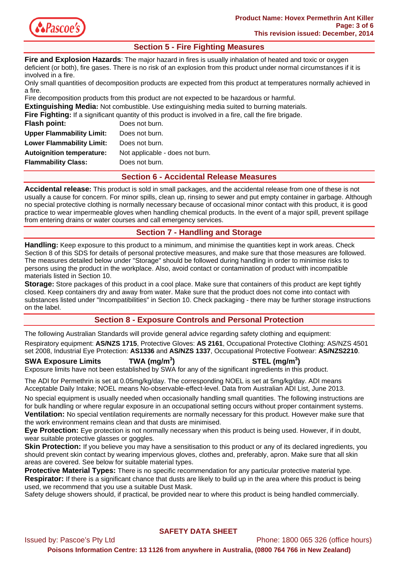

# **Section 5 - Fire Fighting Measures**

**Fire and Explosion Hazards**: The major hazard in fires is usually inhalation of heated and toxic or oxygen deficient (or both), fire gases. There is no risk of an explosion from this product under normal circumstances if it is involved in a fire.

Only small quantities of decomposition products are expected from this product at temperatures normally achieved in a fire.

Fire decomposition products from this product are not expected to be hazardous or harmful.

**Extinguishing Media:** Not combustible. Use extinguishing media suited to burning materials. **Il the fire brigade.** 

|                                  | <b>Fire Fighting:</b> If a significant quantity of this product is involved in a fire, call the |
|----------------------------------|-------------------------------------------------------------------------------------------------|
| <b>Flash point:</b>              | Does not burn.                                                                                  |
| <b>Upper Flammability Limit:</b> | Does not burn.                                                                                  |
| <b>Lower Flammability Limit:</b> | Does not burn.                                                                                  |
| <b>Autoignition temperature:</b> | Not applicable - does not burn.                                                                 |
| <b>Flammability Class:</b>       | Does not burn.                                                                                  |
|                                  |                                                                                                 |

## **Section 6 - Accidental Release Measures**

**Accidental release:** This product is sold in small packages, and the accidental release from one of these is not usually a cause for concern. For minor spills, clean up, rinsing to sewer and put empty container in garbage. Although no special protective clothing is normally necessary because of occasional minor contact with this product, it is good practice to wear impermeable gloves when handling chemical products. In the event of a major spill, prevent spillage from entering drains or water courses and call emergency services.

# **Section 7 - Handling and Storage**

**Handling:** Keep exposure to this product to a minimum, and minimise the quantities kept in work areas. Check Section 8 of this SDS for details of personal protective measures, and make sure that those measures are followed. The measures detailed below under "Storage" should be followed during handling in order to minimise risks to persons using the product in the workplace. Also, avoid contact or contamination of product with incompatible materials listed in Section 10.

**Storage:** Store packages of this product in a cool place. Make sure that containers of this product are kept tightly closed. Keep containers dry and away from water. Make sure that the product does not come into contact with substances listed under "Incompatibilities" in Section 10. Check packaging - there may be further storage instructions on the label.

# **Section 8 - Exposure Controls and Personal Protection**

The following Australian Standards will provide general advice regarding safety clothing and equipment:

Respiratory equipment: **AS/NZS 1715**, Protective Gloves: **AS 2161**, Occupational Protective Clothing: AS/NZS 4501 set 2008, Industrial Eye Protection: **AS1336** and **AS/NZS 1337**, Occupational Protective Footwear: **AS/NZS2210**.

**SWA Exposure Limits TWA (mg/m<sup>3</sup>**

**) STEL (mg/m<sup>3</sup> )** 

Exposure limits have not been established by SWA for any of the significant ingredients in this product.

The ADI for Permethrin is set at 0.05mg/kg/day. The corresponding NOEL is set at 5mg/kg/day. ADI means Acceptable Daily Intake; NOEL means No-observable-effect-level. Data from Australian ADI List, June 2013.

No special equipment is usually needed when occasionally handling small quantities. The following instructions are for bulk handling or where regular exposure in an occupational setting occurs without proper containment systems. **Ventilation:** No special ventilation requirements are normally necessary for this product. However make sure that the work environment remains clean and that dusts are minimised.

**Eye Protection:** Eye protection is not normally necessary when this product is being used. However, if in doubt, wear suitable protective glasses or goggles.

**Skin Protection:** If you believe you may have a sensitisation to this product or any of its declared ingredients, you should prevent skin contact by wearing impervious gloves, clothes and, preferably, apron. Make sure that all skin areas are covered. See below for suitable material types.

**Protective Material Types:** There is no specific recommendation for any particular protective material type. **Respirator:** If there is a significant chance that dusts are likely to build up in the area where this product is being used, we recommend that you use a suitable Dust Mask.

Safety deluge showers should, if practical, be provided near to where this product is being handled commercially.

## **SAFETY DATA SHEET**

Issued by: Pascoe's Pty Ltd Phone: 1800 065 326 (office hours) **Poisons Information Centre: 13 1126 from anywhere in Australia, (0800 764 766 in New Zealand)**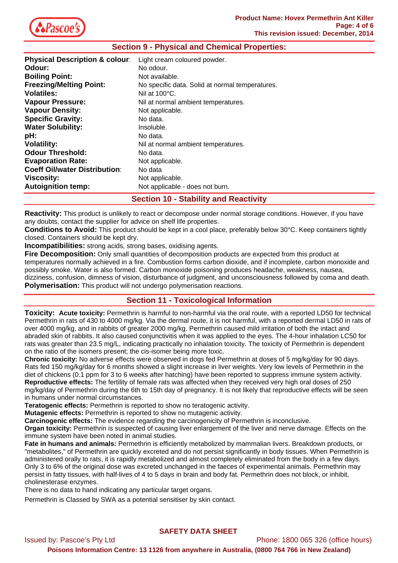

| <b>Section 9 - Physical and Chemical Properties:</b> |                                                 |  |
|------------------------------------------------------|-------------------------------------------------|--|
| <b>Physical Description &amp; colour:</b>            | Light cream coloured powder.                    |  |
| Odour:                                               | No odour.                                       |  |
| <b>Boiling Point:</b>                                | Not available.                                  |  |
| <b>Freezing/Melting Point:</b>                       | No specific data. Solid at normal temperatures. |  |
| <b>Volatiles:</b>                                    | Nil at $100^{\circ}$ C.                         |  |
| <b>Vapour Pressure:</b>                              | Nil at normal ambient temperatures.             |  |
| <b>Vapour Density:</b>                               | Not applicable.                                 |  |
| <b>Specific Gravity:</b>                             | No data.                                        |  |
| <b>Water Solubility:</b>                             | Insoluble.                                      |  |
| pH:                                                  | No data.                                        |  |
| <b>Volatility:</b>                                   | Nil at normal ambient temperatures.             |  |
| <b>Odour Threshold:</b>                              | No data.                                        |  |
| <b>Evaporation Rate:</b>                             | Not applicable.                                 |  |
| <b>Coeff Oil/water Distribution:</b>                 | No data                                         |  |
| Viscosity:                                           | Not applicable.                                 |  |
| <b>Autoignition temp:</b>                            | Not applicable - does not burn.                 |  |
|                                                      | <b>Section 10 - Stability and Reactivity</b>    |  |

**Reactivity:** This product is unlikely to react or decompose under normal storage conditions. However, if you have any doubts, contact the supplier for advice on shelf life properties.

**Conditions to Avoid:** This product should be kept in a cool place, preferably below 30°C. Keep containers tightly closed. Containers should be kept dry.

**Incompatibilities:** strong acids, strong bases, oxidising agents.

**Fire Decomposition:** Only small quantities of decomposition products are expected from this product at temperatures normally achieved in a fire. Combustion forms carbon dioxide, and if incomplete, carbon monoxide and possibly smoke. Water is also formed. Carbon monoxide poisoning produces headache, weakness, nausea, dizziness, confusion, dimness of vision, disturbance of judgment, and unconsciousness followed by coma and death. **Polymerisation:** This product will not undergo polymerisation reactions.

## **Section 11 - Toxicological Information**

**Toxicity: Acute toxicity:** Permethrin is harmful to non-harmful via the oral route, with a reported LD50 for technical Permethrin in rats of 430 to 4000 mg/kg. Via the dermal route, it is not harmful, with a reported dermal LD50 in rats of over 4000 mg/kg, and in rabbits of greater 2000 mg/kg. Permethrin caused mild irritation of both the intact and abraded skin of rabbits. It also caused conjunctivitis when it was applied to the eyes. The 4-hour inhalation LC50 for rats was greater than 23.5 mg/L, indicating practically no inhalation toxicity. The toxicity of Permethrin is dependent on the ratio of the isomers present; the cis-isomer being more toxic.

**Chronic toxicity:** No adverse effects were observed in dogs fed Permethrin at doses of 5 mg/kg/day for 90 days. Rats fed 150 mg/kg/day for 6 months showed a slight increase in liver weights. Very low levels of Permethrin in the diet of chickens (0.1 ppm for 3 to 6 weeks after hatching) have been reported to suppress immune system activity. **Reproductive effects:** The fertility of female rats was affected when they received very high oral doses of 250 mg/kg/day of Permethrin during the 6th to 15th day of pregnancy. It is not likely that reproductive effects will be seen in humans under normal circumstances.

**Teratogenic effects:** Permethrin is reported to show no teratogenic activity.

**Mutagenic effects:** Permethrin is reported to show no mutagenic activity.

**Carcinogenic effects:** The evidence regarding the carcinogenicity of Permethrin is inconclusive.

**Organ toxicity:** Permethrin is suspected of causing liver enlargement of the liver and nerve damage. Effects on the immune system have been noted in animal studies.

**Fate in humans and animals:** Permethrin is efficiently metabolized by mammalian livers. Breakdown products, or "metabolites," of Permethrin are quickly excreted and do not persist significantly in body tissues. When Permethrin is administered orally to rats, it is rapidly metabolized and almost completely eliminated from the body in a few days. Only 3 to 6% of the original dose was excreted unchanged in the faeces of experimental animals. Permethrin may persist in fatty tissues, with half-lives of 4 to 5 days in brain and body fat. Permethrin does not block, or inhibit, cholinesterase enzymes.

There is no data to hand indicating any particular target organs.

Permethrin is Classed by SWA as a potential sensitiser by skin contact.

## **SAFETY DATA SHEET**

Issued by: Pascoe's Pty Ltd Phone: 1800 065 326 (office hours)

**Poisons Information Centre: 13 1126 from anywhere in Australia, (0800 764 766 in New Zealand)**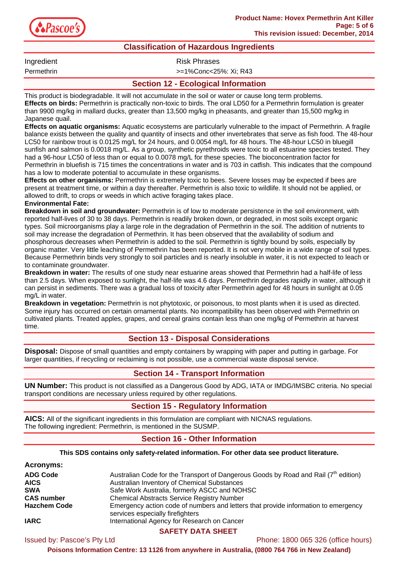

## **Classification of Hazardous Ingredients**

Ingredient **Risk Phrases** 

Permethrin >=1%Conc<25%: Xi; R43

# **Section 12 - Ecological Information**

This product is biodegradable. It will not accumulate in the soil or water or cause long term problems. **Effects on birds:** Permethrin is practically non-toxic to birds. The oral LD50 for a Permethrin formulation is greater than 9900 mg/kg in mallard ducks, greater than 13,500 mg/kg in pheasants, and greater than 15,500 mg/kg in Japanese quail.

**Effects on aquatic organisms:** Aquatic ecosystems are particularly vulnerable to the impact of Permethrin. A fragile balance exists between the quality and quantity of insects and other invertebrates that serve as fish food. The 48-hour LC50 for rainbow trout is 0.0125 mg/L for 24 hours, and 0.0054 mg/L for 48 hours. The 48-hour LC50 in bluegill sunfish and salmon is 0.0018 mg/L. As a group, synthetic pyrethroids were toxic to all estuarine species tested. They had a 96-hour LC50 of less than or equal to 0.0078 mg/L for these species. The bioconcentration factor for Permethrin in bluefish is 715 times the concentrations in water and is 703 in catfish. This indicates that the compound has a low to moderate potential to accumulate in these organisms.

**Effects on other organisms:** Permethrin is extremely toxic to bees. Severe losses may be expected if bees are present at treatment time, or within a day thereafter. Permethrin is also toxic to wildlife. It should not be applied, or allowed to drift, to crops or weeds in which active foraging takes place.

### **Environmental Fate:**

**Breakdown in soil and groundwater:** Permethrin is of low to moderate persistence in the soil environment, with reported half-lives of 30 to 38 days. Permethrin is readily broken down, or degraded, in most soils except organic types. Soil microorganisms play a large role in the degradation of Permethrin in the soil. The addition of nutrients to soil may increase the degradation of Permethrin. It has been observed that the availability of sodium and phosphorous decreases when Permethrin is added to the soil. Permethrin is tightly bound by soils, especially by organic matter. Very little leaching of Permethrin has been reported. It is not very mobile in a wide range of soil types. Because Permethrin binds very strongly to soil particles and is nearly insoluble in water, it is not expected to leach or to contaminate groundwater.

**Breakdown in water:** The results of one study near estuarine areas showed that Permethrin had a half-life of less than 2.5 days. When exposed to sunlight, the half-life was 4.6 days. Permethrin degrades rapidly in water, although it can persist in sediments. There was a gradual loss of toxicity after Permethrin aged for 48 hours in sunlight at 0.05 mg/L in water.

**Breakdown in vegetation:** Permethrin is not phytotoxic, or poisonous, to most plants when it is used as directed. Some injury has occurred on certain ornamental plants. No incompatibility has been observed with Permethrin on cultivated plants. Treated apples, grapes, and cereal grains contain less than one mg/kg of Permethrin at harvest time.

## **Section 13 - Disposal Considerations**

**Disposal:** Dispose of small quantities and empty containers by wrapping with paper and putting in garbage. For larger quantities, if recycling or reclaiming is not possible, use a commercial waste disposal service.

## **Section 14 - Transport Information**

**UN Number:** This product is not classified as a Dangerous Good by ADG, IATA or IMDG/IMSBC criteria. No special transport conditions are necessary unless required by other regulations.

## **Section 15 - Regulatory Information**

**AICS:** All of the significant ingredients in this formulation are compliant with NICNAS regulations. The following ingredient: Permethrin, is mentioned in the SUSMP.

## **Section 16 - Other Information**

### **This SDS contains only safety-related information. For other data see product literature.**

| <b>Acronyms:</b>    |                                                                                                                        |
|---------------------|------------------------------------------------------------------------------------------------------------------------|
| <b>ADG Code</b>     | Australian Code for the Transport of Dangerous Goods by Road and Rail $(7th$ edition)                                  |
| <b>AICS</b>         | Australian Inventory of Chemical Substances                                                                            |
| <b>SWA</b>          | Safe Work Australia, formerly ASCC and NOHSC                                                                           |
| <b>CAS number</b>   | <b>Chemical Abstracts Service Registry Number</b>                                                                      |
| <b>Hazchem Code</b> | Emergency action code of numbers and letters that provide information to emergency<br>services especially firefighters |
| <b>IARC</b>         | International Agency for Research on Cancer                                                                            |

## **SAFETY DATA SHEET**

Issued by: Pascoe's Pty Ltd Phone: 1800 065 326 (office hours)

**Poisons Information Centre: 13 1126 from anywhere in Australia, (0800 764 766 in New Zealand)**